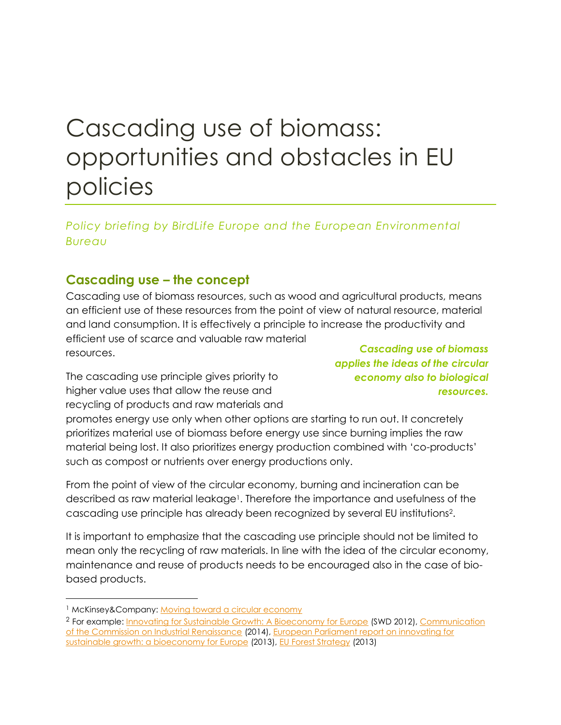# Cascading use of biomass: opportunities and obstacles in EU policies

#### *Policy briefing by BirdLife Europe and the European Environmental Bureau*

### **Cascading use – the concept**

Cascading use of biomass resources, such as wood and agricultural products, means an efficient use of these resources from the point of view of natural resource, material and land consumption. It is effectively a principle to increase the productivity and efficient use of scarce and valuable raw material resources.

The cascading use principle gives priority to higher value uses that allow the reuse and recycling of products and raw materials and

*Cascading use of biomass applies the ideas of the circular economy also to biological resources.*

promotes energy use only when other options are starting to run out. It concretely prioritizes material use of biomass before energy use since burning implies the raw material being lost. It also prioritizes energy production combined with 'co-products' such as compost or nutrients over energy productions only.

From the point of view of the circular economy, burning and incineration can be described as raw material leakage<sup>1</sup>. Therefore the importance and usefulness of the cascading use principle has already been recognized by several EU institutions<sup>2</sup> .

It is important to emphasize that the cascading use principle should not be limited to mean only the recycling of raw materials. In line with the idea of the circular economy, maintenance and reuse of products needs to be encouraged also in the case of biobased products.

<sup>&</sup>lt;sup>1</sup> McKinsey&Company: [Moving toward a circular economy](http://www.mckinsey.com/insights/manufacturing/moving_toward_a_circular_economy)

<sup>&</sup>lt;sup>2</sup> For example: [Innovating for Sustainable Growth: A Bioeconomy for Europe](http://ec.europa.eu/research/bioeconomy/pdf/201202_commision_staff_working.pdf) (SWD 2012), Communication [of the Commission on Industrial Renaissance](http://eur-lex.europa.eu/legal-content/EN/TXT/?uri=CELEX:52014DC0014) (2014), [European Parliament report on innovating for](http://www.europarl.europa.eu/sides/getDoc.do?type=REPORT&reference=A7-2013-0201&language=EN)  [sustainable growth: a bioeconomy for Europe](http://www.europarl.europa.eu/sides/getDoc.do?type=REPORT&reference=A7-2013-0201&language=EN) (2013), [EU Forest Strategy](http://ec.europa.eu/agriculture/forest/strategy/index_en.htm) (2013)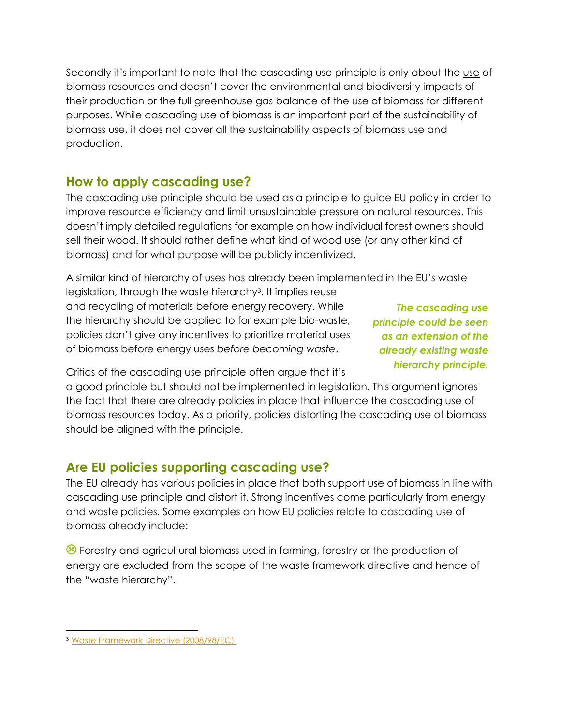Secondly it's important to note that the cascading use principle is only about the use of biomass resources and doesn't cover the environmental and biodiversity impacts of their production or the full greenhouse gas balance of the use of biomass for different purposes. While cascading use of biomass is an important part of the sustainability of biomass use, it does not cover all the sustainability aspects of biomass use and production.

### **How to apply cascading use?**

The cascading use principle should be used as a principle to guide EU policy in order to improve resource efficiency and limit unsustainable pressure on natural resources. This doesn't imply detailed regulations for example on how individual forest owners should sell their wood. It should rather define what kind of wood use (or any other kind of biomass) and for what purpose will be publicly incentivized.

A similar kind of hierarchy of uses has already been implemented in the EU's waste legislation, through the waste hierarchy<sup>3</sup> . It implies reuse

and recycling of materials before energy recovery. While the hierarchy should be applied to for example bio-waste, policies don't give any incentives to prioritize material uses of biomass before energy uses *before becoming waste*.

*The cascading use principle could be seen as an extension of the already existing waste hierarchy principle.* 

Critics of the cascading use principle often argue that it's

a good principle but should not be implemented in legislation. This argument ignores the fact that there are already policies in place that influence the cascading use of biomass resources today. As a priority, policies distorting the cascading use of biomass should be aligned with the principle.

# **Are EU policies supporting cascading use?**

The EU already has various policies in place that both support use of biomass in line with cascading use principle and distort it. Strong incentives come particularly from energy and waste policies. Some examples on how EU policies relate to cascading use of biomass already include:

<sup>8</sup> Forestry and agricultural biomass used in farming, forestry or the production of energy are excluded from the scope of the waste framework directive and hence of the "waste hierarchy".

 $\overline{a}$ <sup>3</sup> [Waste Framework Directive](http://eur-lex.europa.eu/legal-content/EN/TXT/HTML/?uri=CELEX:32008L0098&from=EN) (2008/98/EC)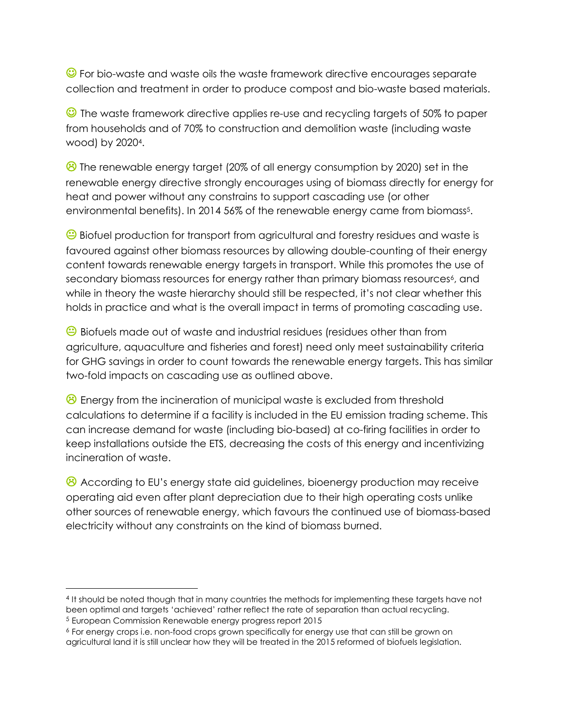**C** For bio-waste and waste oils the waste framework directive encourages separate collection and treatment in order to produce compost and bio-waste based materials.

 The waste framework directive applies re-use and recycling targets of 50% to paper from households and of 70% to construction and demolition waste (including waste wood) by 2020<sup>4</sup> .

**B** The renewable energy target (20% of all energy consumption by 2020) set in the renewable energy directive strongly encourages using of biomass directly for energy for heat and power without any constrains to support cascading use (or other environmental benefits). In 2014 56% of the renewable energy came from biomass<sup>5</sup>.

 $\bigodot$  Biofuel production for transport from agricultural and forestry residues and waste is favoured against other biomass resources by allowing double-counting of their energy content towards renewable energy targets in transport. While this promotes the use of secondary biomass resources for energy rather than primary biomass resources<sup>6</sup>, and while in theory the waste hierarchy should still be respected, it's not clear whether this holds in practice and what is the overall impact in terms of promoting cascading use.

Biofuels made out of waste and industrial residues (residues other than from agriculture, aquaculture and fisheries and forest) need only meet sustainability criteria for GHG savings in order to count towards the renewable energy targets. This has similar two-fold impacts on cascading use as outlined above.

<sup>2</sup> Energy from the incineration of municipal waste is excluded from threshold calculations to determine if a facility is included in the EU emission trading scheme. This can increase demand for waste (including bio-based) at co-firing facilities in order to keep installations outside the ETS, decreasing the costs of this energy and incentivizing incineration of waste.

<sup>8</sup> According to EU's energy state aid guidelines, bioenergy production may receive operating aid even after plant depreciation due to their high operating costs unlike other sources of renewable energy, which favours the continued use of biomass-based electricity without any constraints on the kind of biomass burned.

 $\overline{a}$ 

<sup>4</sup> It should be noted though that in many countries the methods for implementing these targets have not been optimal and targets 'achieved' rather reflect the rate of separation than actual recycling. <sup>5</sup> European Commission Renewable energy progress report 2015

<sup>6</sup> For energy crops i.e. non-food crops grown specifically for energy use that can still be grown on agricultural land it is still unclear how they will be treated in the 2015 reformed of biofuels legislation.